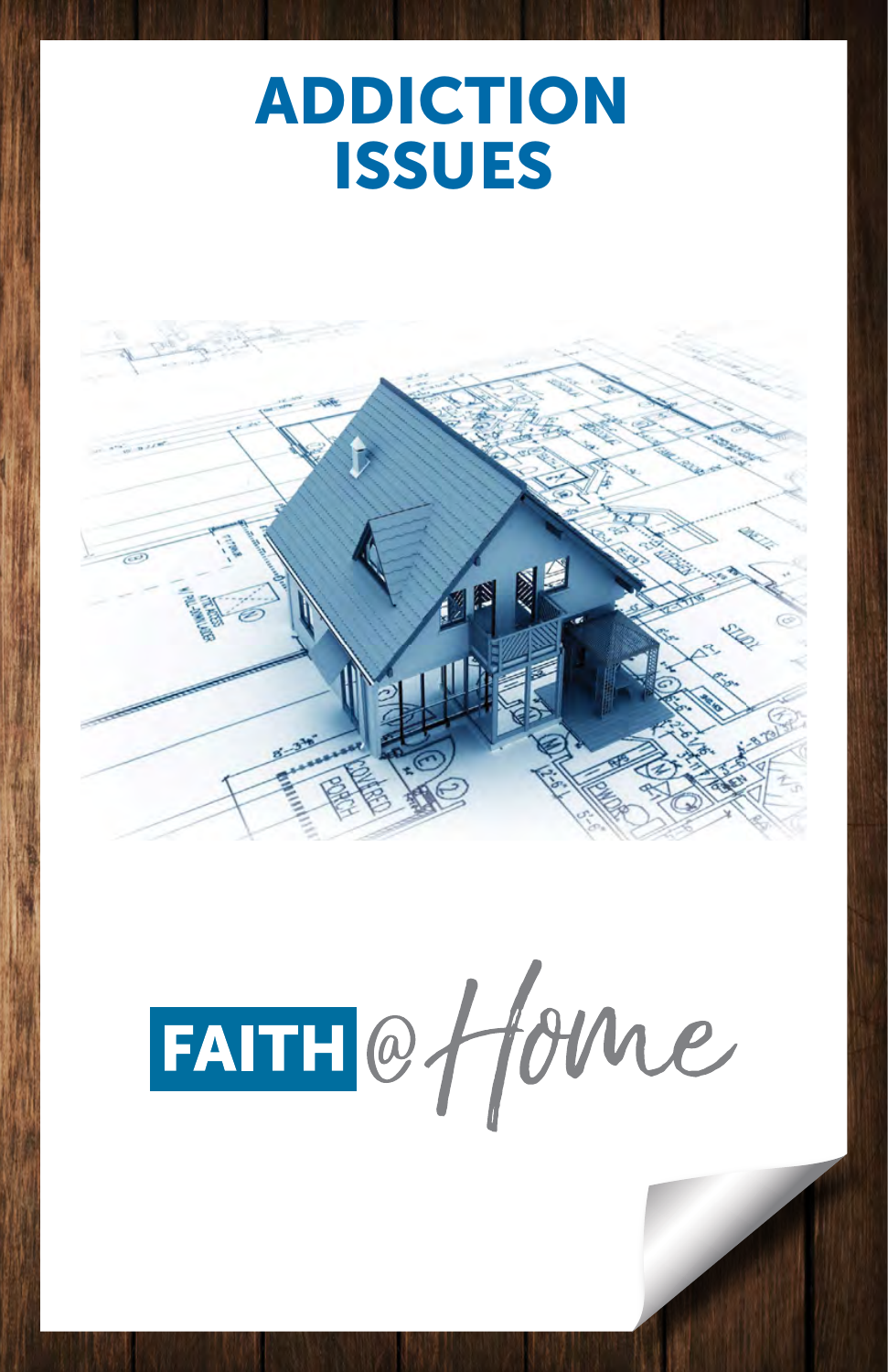# ADDICTION ADDICTION ISSUES ISSUES





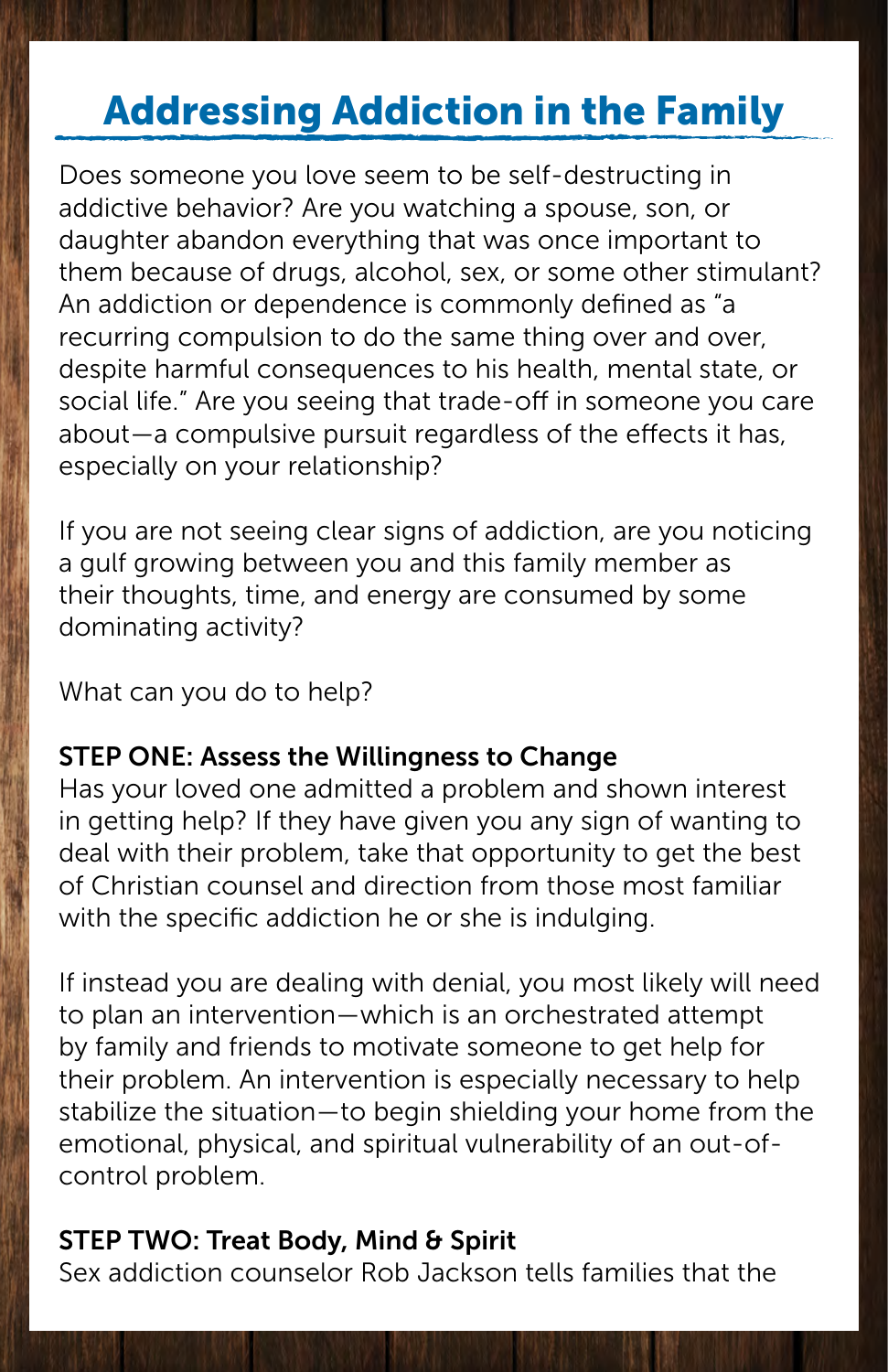## Addressing Addiction in the Family

Does someone you love seem to be self-destructing in addictive behavior? Are you watching a spouse, son, or daughter abandon everything that was once important to them because of drugs, alcohol, sex, or some other stimulant? An addiction or dependence is commonly defined as "a recurring compulsion to do the same thing over and over, despite harmful consequences to his health, mental state, or social life." Are you seeing that trade-off in someone you care about—a compulsive pursuit regardless of the effects it has, especially on your relationship?

If you are not seeing clear signs of addiction, are you noticing a gulf growing between you and this family member as their thoughts, time, and energy are consumed by some dominating activity?

What can you do to help?

#### STEP ONE: Assess the Willingness to Change

Has your loved one admitted a problem and shown interest in getting help? If they have given you any sign of wanting to deal with their problem, take that opportunity to get the best of Christian counsel and direction from those most familiar with the specific addiction he or she is indulging.

If instead you are dealing with denial, you most likely will need to plan an intervention—which is an orchestrated attempt by family and friends to motivate someone to get help for their problem. An intervention is especially necessary to help stabilize the situation—to begin shielding your home from the emotional, physical, and spiritual vulnerability of an out-ofcontrol problem.

#### STEP TWO: Treat Body, Mind & Spirit

Sex addiction counselor Rob Jackson tells families that the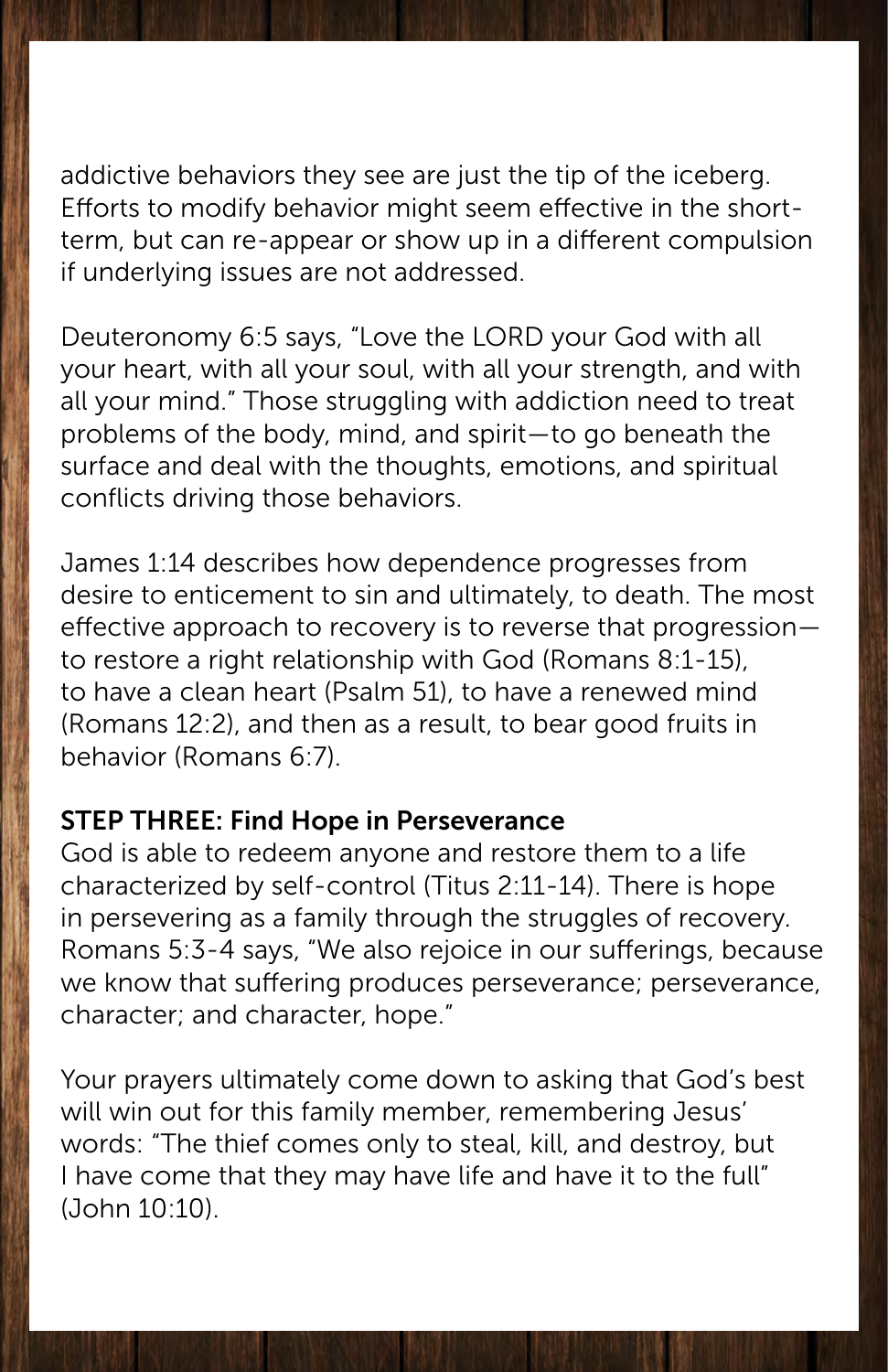addictive behaviors they see are just the tip of the iceberg. Efforts to modify behavior might seem effective in the shortterm, but can re-appear or show up in a different compulsion if underlying issues are not addressed.

Deuteronomy 6:5 says, "Love the LORD your God with all your heart, with all your soul, with all your strength, and with all your mind." Those struggling with addiction need to treat problems of the body, mind, and spirit—to go beneath the surface and deal with the thoughts, emotions, and spiritual conflicts driving those behaviors.

James 1:14 describes how dependence progresses from desire to enticement to sin and ultimately, to death. The most effective approach to recovery is to reverse that progression to restore a right relationship with God (Romans 8:1-15), to have a clean heart (Psalm 51), to have a renewed mind (Romans 12:2), and then as a result, to bear good fruits in behavior (Romans 6:7).

#### STEP THREE: Find Hope in Perseverance

God is able to redeem anyone and restore them to a life characterized by self-control (Titus 2:11-14). There is hope in persevering as a family through the struggles of recovery. Romans 5:3-4 says, "We also rejoice in our sufferings, because we know that suffering produces perseverance; perseverance, character; and character, hope."

Your prayers ultimately come down to asking that God's best will win out for this family member, remembering Jesus' words: "The thief comes only to steal, kill, and destroy, but I have come that they may have life and have it to the full" (John 10:10).